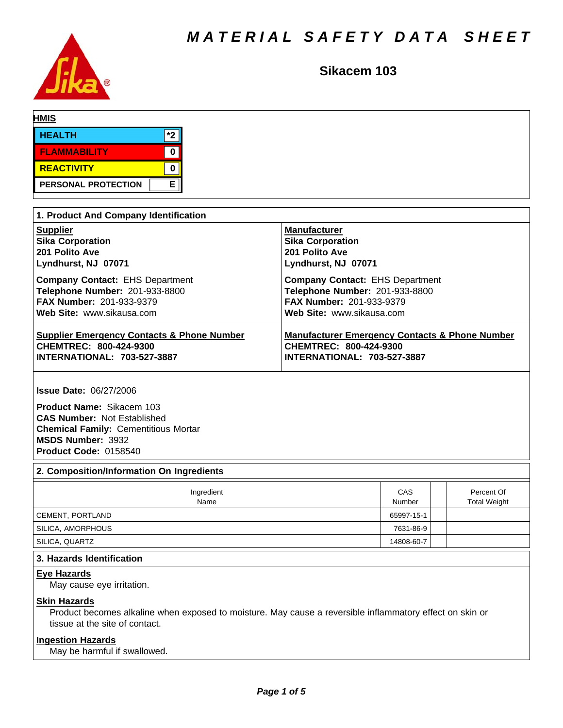

# **Sikacem 103**

| <b>HMIS</b>                |     |  |  |
|----------------------------|-----|--|--|
| <b>HEALTH</b>              | $*$ |  |  |
| <b>FLAMMABILITY</b>        |     |  |  |
| REACTIVITY                 |     |  |  |
| <b>PERSONAL PROTECTION</b> | E   |  |  |

| 1. Product And Company Identification                 |                                                           |  |  |  |  |  |
|-------------------------------------------------------|-----------------------------------------------------------|--|--|--|--|--|
| <b>Supplier</b>                                       | <b>Manufacturer</b>                                       |  |  |  |  |  |
| <b>Sika Corporation</b>                               | <b>Sika Corporation</b>                                   |  |  |  |  |  |
| 201 Polito Ave                                        | 201 Polito Ave                                            |  |  |  |  |  |
| Lyndhurst, NJ 07071                                   | Lyndhurst, NJ 07071                                       |  |  |  |  |  |
| <b>Company Contact: EHS Department</b>                | <b>Company Contact: EHS Department</b>                    |  |  |  |  |  |
| Telephone Number: 201-933-8800                        | Telephone Number: 201-933-8800                            |  |  |  |  |  |
| <b>FAX Number: 201-933-9379</b>                       | <b>FAX Number: 201-933-9379</b>                           |  |  |  |  |  |
| Web Site: www.sikausa.com                             | Web Site: www.sikausa.com                                 |  |  |  |  |  |
| <b>Supplier Emergency Contacts &amp; Phone Number</b> | <b>Manufacturer Emergency Contacts &amp; Phone Number</b> |  |  |  |  |  |
| CHEMTREC: 800-424-9300                                | CHEMTREC: 800-424-9300                                    |  |  |  |  |  |
| <b>INTERNATIONAL: 703-527-3887</b>                    | <b>INTERNATIONAL: 703-527-3887</b>                        |  |  |  |  |  |

**Issue Date:** 06/27/2006

**Product Name:** Sikacem 103 **CAS Number:** Not Established **Chemical Family:** Cementitious Mortar **MSDS Number:** 3932 **Product Code:** 0158540

# **2. Composition/Information On Ingredients**

| Ingredient<br>Name | CAS<br>Number | Percent Of<br><b>Total Weight</b> |
|--------------------|---------------|-----------------------------------|
| CEMENT, PORTLAND   | 65997-15-1    |                                   |
| SILICA, AMORPHOUS  | 7631-86-9     |                                   |
| ' SILICA, QUARTZ   | 14808-60-7    |                                   |

# **3. Hazards Identification**

### **Eye Hazards**

May cause eye irritation.

## **Skin Hazards**

Product becomes alkaline when exposed to moisture. May cause a reversible inflammatory effect on skin or tissue at the site of contact.

## **Ingestion Hazards**

May be harmful if swallowed.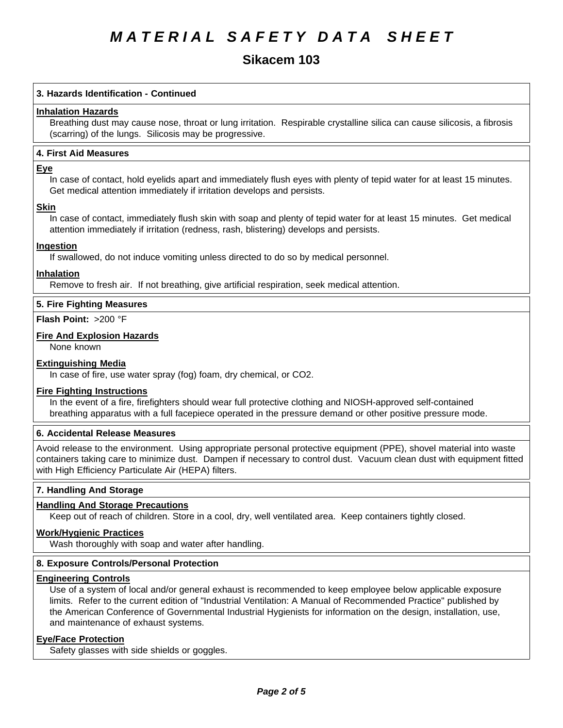# **Sikacem 103**

## **3. Hazards Identification - Continued**

### **Inhalation Hazards**

Breathing dust may cause nose, throat or lung irritation. Respirable crystalline silica can cause silicosis, a fibrosis (scarring) of the lungs. Silicosis may be progressive.

## **4.First AidMeasures**

#### **Eye**

In case of contact, hold eyelids apart and immediately flush eyes with plenty of tepid water for at least 15 minutes. Get medical attention immediately if irritation develops and persists.

### **Skin**

In case of contact, immediately flush skin with soap and plenty of tepid water for at least 15 minutes. Get medical attention immediately if irritation (redness, rash, blistering) develops and persists.

## **Ingestion**

If swallowed, do not induce vomiting unless directed to do so by medical personnel.

### **Inhalation**

Remove to fresh air. If not breathing, give artificial respiration, seek medical attention.

### **5. Fire Fighting Measures**

**Flash Point:** >200 °F

## **Fire And Explosion Hazards**

None known

## **Extinguishing Media**

In case of fire, use water spray (fog) foam, dry chemical, or CO2.

#### **Fire Fighting Instructions**

In the event of a fire, firefighters should wear full protective clothing and NIOSH-approved self-contained breathing apparatus with a full facepiece operated in the pressure demand or other positive pressure mode.

## **6. Accidental Release Measures**

Avoid release to the environment. Using appropriate personal protective equipment (PPE), shovel material into waste containers taking care to minimize dust. Dampen if necessary to control dust. Vacuum clean dust with equipment fitted with High Efficiency Particulate Air (HEPA) filters.

## **7. Handling And Storage**

## **Handling And Storage Precautions**

Keep out of reach of children. Store in a cool, dry, well ventilated area. Keep containers tightly closed.

#### **Work/Hygienic Practices**

Wash thoroughly with soap and water after handling.

## **8. Exposure Controls/Personal Protection**

#### **Engineering Controls**

Use of a system of local and/or general exhaust is recommended to keep employee below applicable exposure limits. Refer to the current edition of "Industrial Ventilation: A Manual of Recommended Practice" published by the American Conference of Governmental Industrial Hygienists for information on the design, installation, use, and maintenance of exhaust systems.

## **Eye/Face Protection**

Safety glasses with side shields or goggles.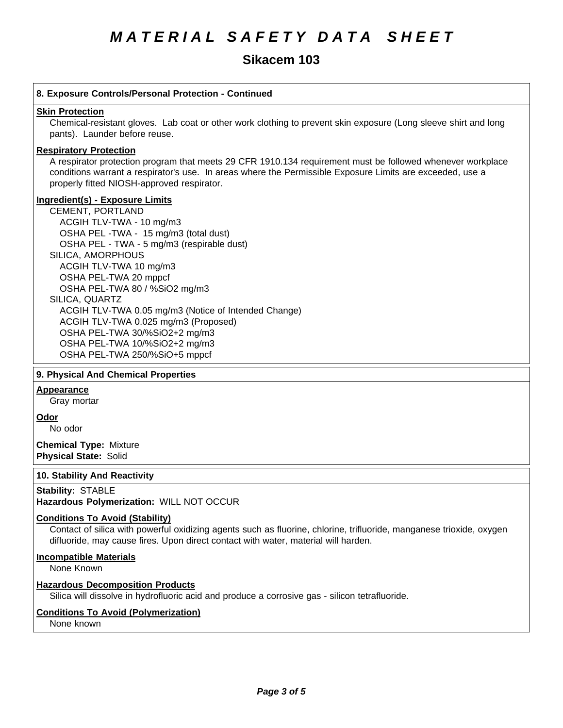# **Sikacem 103**

# **8. Exposure Controls/Personal Protection - Continued Skin Protection** Chemical-resistant gloves. Lab coat or other work clothing to prevent skin exposure (Long sleeve shirt and long pants). Launder before reuse. **Respiratory Protection** A respirator protection program that meets 29 CFR 1910.134 requirement must be followed whenever workplace conditions warrant a respirator's use. In areas where the Permissible Exposure Limits are exceeded, use a properly fitted NIOSH-approved respirator. **Ingredient(s) - Exposure Limits** CEMENT, PORTLAND ACGIHTLV-TWA-10 mg/m3 OSHA PEL-TWA - 15 mg/m3 (total dust) OSHA PEL - TWA - 5 mg/m3 (respirable dust) SILICA, AMORPHOUS ACGIH TLV-TWA10 mg/m3 OSHA PEL-TWA 20 mppcf OSHA PEL-TWA 80 / %SiO2 mg/m3 SILICA, QUARTZ ACGIH TLV-TWA 0.05 mg/m3(Notice of Intended Change) ACGIH TLV-TWA 0.025 mg/m3 (Proposed) OSHA PEL-TWA 30/%SiO2+2 mg/m3 OSHA PEL-TWA 10/%SiO2+2 mg/m3 OSHA PEL-TWA 250/%SiO+5 mppcf

# **9. Physical And Chemical Properties**

# **Appearance**

Gray mortar

**Odor**

No odor

**Chemical Type:** Mixture **Physical State:** Solid

# **10. Stability And Reactivity**

# **Stability: STABLE**

**Hazardous Polymerization:** WILL NOT OCCUR

# **Conditions To Avoid (Stability)**

Contact of silica with powerful oxidizing agents such as fluorine, chlorine, trifluoride, manganese trioxide, oxygen difluoride, may cause fires. Upon direct contact with water, material will harden.

# **Incompatible Materials**

None Known

# **Hazardous Decomposition Products**

Silica will dissolve in hydrofluoric acid and produce a corrosive gas - silicon tetrafluoride.

# **Conditions To Avoid (Polymerization)**

None known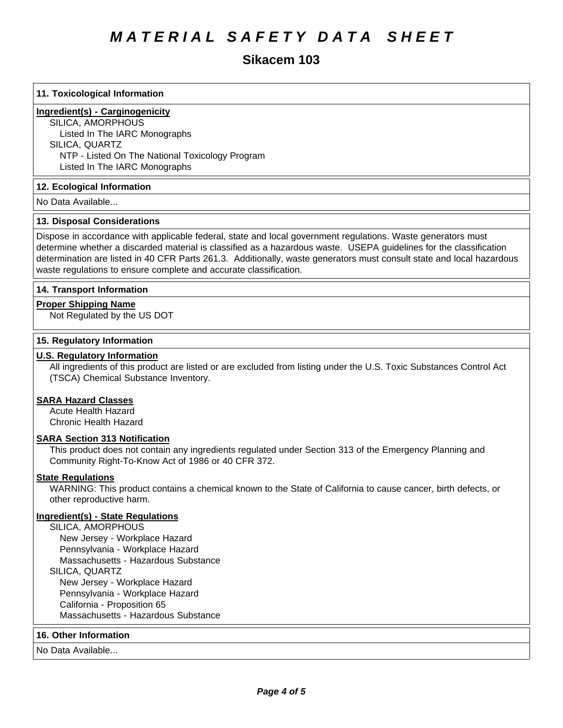# **Sikacem 103**

## **11. Toxicological Information**

# **Ingredient(s) - Carginogenicity**

SILICA, AMORPHOUS Listed In The IARC Monographs SILICA, QUARTZ NTP - Listed On The National Toxicology Program Listed In The IARC Monographs

## **12. Ecological Information**

No Data Available...

### **13. Disposal Considerations**

Dispose in accordance with applicable federal, state and local government regulations. Waste generators must determine whether a discarded material is classified as a hazardous waste. USEPA guidelines for the classification determination are listed in 40 CFR Parts 261.3. Additionally, waste generators must consult state and local hazardous waste regulations to ensure complete and accurate classification.

## **14. Transport Information**

### **Proper Shipping Name**

Not Regulated by the US DOT

### **15. Regulatory Information**

## **U.S. Regulatory Information**

All ingredients of this product are listed or are excluded from listing under the U.S. Toxic Substances Control Act (TSCA) Chemical Substance Inventory.

## **SARA Hazard Classes**

Acute Health Hazard Chronic Health Hazard

## **SARA Section 313 Notification**

This product does not contain any ingredients regulated under Section 313 of the Emergency Planning and Community Right-To-Know Act of 1986 or 40 CFR 372.

## **State Regulations**

WARNING: This product contains a chemical known to the State of California to cause cancer, birth defects, or other reproductive harm.

## **Ingredient(s) - State Regulations**

SILICA, AMORPHOUS New Jersey - Workplace Hazard Pennsylvania - Workplace Hazard Massachusetts - Hazardous Substance SILICA, QUARTZ New Jersey - Workplace Hazard Pennsylvania - Workplace Hazard California - Proposition 65 Massachusetts - Hazardous Substance

#### **16. Other Information**

No Data Available...